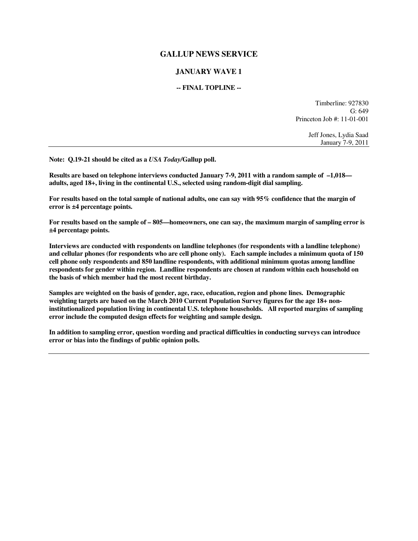## **GALLUP NEWS SERVICE**

## **JANUARY WAVE 1**

## **-- FINAL TOPLINE --**

Timberline: 927830  $G: 649$ Princeton Job #: 11-01-001

> Jeff Jones, Lydia Saad January 7-9, 2011

**Note: Q.19-21 should be cited as a** *USA Today/***Gallup poll.** 

**Results are based on telephone interviews conducted January 7-9, 2011 with a random sample of –1,018 adults, aged 18+, living in the continental U.S., selected using random-digit dial sampling.** 

**For results based on the total sample of national adults, one can say with 95% confidence that the margin of error is ±4 percentage points.** 

**For results based on the sample of – 805—homeowners, one can say, the maximum margin of sampling error is ±4 percentage points.** 

**Interviews are conducted with respondents on landline telephones (for respondents with a landline telephone) and cellular phones (for respondents who are cell phone only). Each sample includes a minimum quota of 150 cell phone only respondents and 850 landline respondents, with additional minimum quotas among landline respondents for gender within region. Landline respondents are chosen at random within each household on the basis of which member had the most recent birthday.** 

**Samples are weighted on the basis of gender, age, race, education, region and phone lines. Demographic weighting targets are based on the March 2010 Current Population Survey figures for the age 18+ noninstitutionalized population living in continental U.S. telephone households. All reported margins of sampling error include the computed design effects for weighting and sample design.** 

**In addition to sampling error, question wording and practical difficulties in conducting surveys can introduce error or bias into the findings of public opinion polls.**